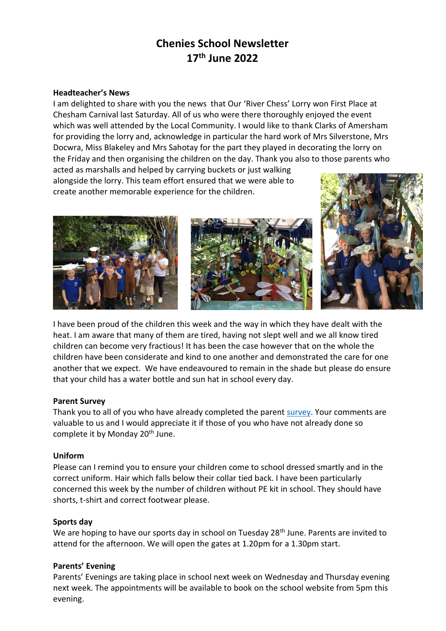# **Chenies School Newsletter 17th June 2022**

#### **Headteacher's News**

I am delighted to share with you the news that Our 'River Chess' Lorry won First Place at Chesham Carnival last Saturday. All of us who were there thoroughly enjoyed the event which was well attended by the Local Community. I would like to thank Clarks of Amersham for providing the lorry and, acknowledge in particular the hard work of Mrs Silverstone, Mrs Docwra, Miss Blakeley and Mrs Sahotay for the part they played in decorating the lorry on the Friday and then organising the children on the day. Thank you also to those parents who

acted as marshalls and helped by carrying buckets or just walking alongside the lorry. This team effort ensured that we were able to create another memorable experience for the children.





I have been proud of the children this week and the way in which they have dealt with the heat. I am aware that many of them are tired, having not slept well and we all know tired children can become very fractious! It has been the case however that on the whole the children have been considerate and kind to one another and demonstrated the care for one another that we expect. We have endeavoured to remain in the shade but please do ensure that your child has a water bottle and sun hat in school every day.

#### **Parent Survey**

Thank you to all of you who have already completed the parent [survey.](https://forms.gle/PeZcxeDVLKSCV6e87) Your comments are valuable to us and I would appreciate it if those of you who have not already done so complete it by Monday 20<sup>th</sup> June.

#### **Uniform**

Please can I remind you to ensure your children come to school dressed smartly and in the correct uniform. Hair which falls below their collar tied back. I have been particularly concerned this week by the number of children without PE kit in school. They should have shorts, t-shirt and correct footwear please.

#### **Sports day**

We are hoping to have our sports day in school on Tuesday 28<sup>th</sup> June. Parents are invited to attend for the afternoon. We will open the gates at 1.20pm for a 1.30pm start.

## **Parents' Evening**

Parents' Evenings are taking place in school next week on Wednesday and Thursday evening next week. The appointments will be available to book on the school website from 5pm this evening.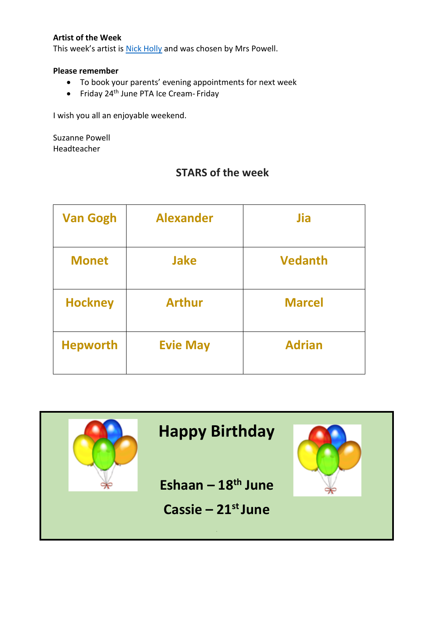## **Artist of the Week**

This week's artist is [Nick Holly](https://www.chenies.bucks.sch.uk/web/art_and_design/541341) and was chosen by Mrs Powell.

### **Please remember**

- To book your parents' evening appointments for next week
- Friday 24<sup>th</sup> June PTA Ice Cream- Friday

I wish you all an enjoyable weekend.

Suzanne Powell Headteacher

## **STARS of the week**

| <b>Van Gogh</b> | <b>Alexander</b> | Jia            |
|-----------------|------------------|----------------|
| <b>Monet</b>    | <b>Jake</b>      | <b>Vedanth</b> |
| <b>Hockney</b>  | <b>Arthur</b>    | <b>Marcel</b>  |
| <b>Hepworth</b> | <b>Evie May</b>  | <b>Adrian</b>  |

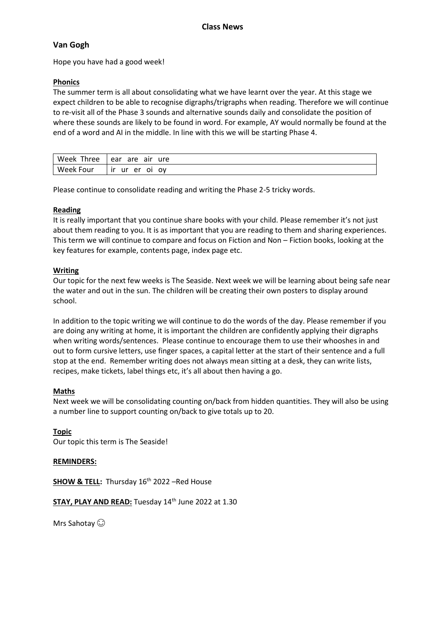### **Van Gogh**

Hope you have had a good week!

#### **Phonics**

The summer term is all about consolidating what we have learnt over the year. At this stage we expect children to be able to recognise digraphs/trigraphs when reading. Therefore we will continue to re-visit all of the Phase 3 sounds and alternative sounds daily and consolidate the position of where these sounds are likely to be found in word. For example, AY would normally be found at the end of a word and AI in the middle. In line with this we will be starting Phase 4.

| Three<br>Week | are<br>ure<br>air<br>ear       |
|---------------|--------------------------------|
| Week Four     | er<br>.<br>ΩV<br>οι<br>u.<br>ш |

Please continue to consolidate reading and writing the Phase 2-5 tricky words.

#### **Reading**

It is really important that you continue share books with your child. Please remember it's not just about them reading to you. It is as important that you are reading to them and sharing experiences. This term we will continue to compare and focus on Fiction and Non – Fiction books, looking at the key features for example, contents page, index page etc.

#### **Writing**

Our topic for the next few weeks is The Seaside. Next week we will be learning about being safe near the water and out in the sun. The children will be creating their own posters to display around school.

In addition to the topic writing we will continue to do the words of the day. Please remember if you are doing any writing at home, it is important the children are confidently applying their digraphs when writing words/sentences. Please continue to encourage them to use their whooshes in and out to form cursive letters, use finger spaces, a capital letter at the start of their sentence and a full stop at the end. Remember writing does not always mean sitting at a desk, they can write lists, recipes, make tickets, label things etc, it's all about then having a go.

#### **Maths**

Next week we will be consolidating counting on/back from hidden quantities. They will also be using a number line to support counting on/back to give totals up to 20.

**Topic** Our topic this term is The Seaside!

#### **REMINDERS:**

**SHOW & TELL:** Thursday 16<sup>th</sup> 2022 –Red House

**STAY, PLAY AND READ:** Tuesday 14<sup>th</sup> June 2022 at 1.30

Mrs Sahotay  $\odot$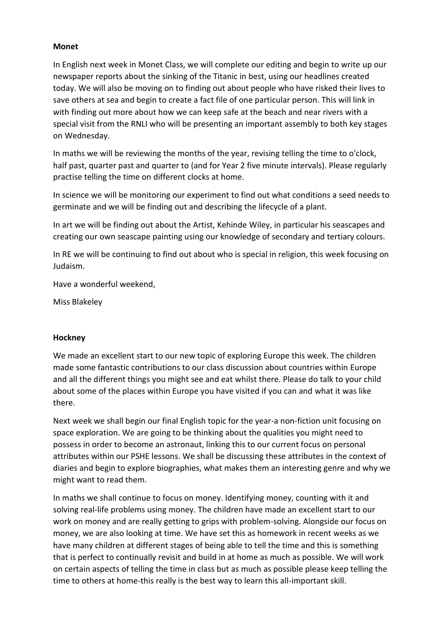#### **Monet**

In English next week in Monet Class, we will complete our editing and begin to write up our newspaper reports about the sinking of the Titanic in best, using our headlines created today. We will also be moving on to finding out about people who have risked their lives to save others at sea and begin to create a fact file of one particular person. This will link in with finding out more about how we can keep safe at the beach and near rivers with a special visit from the RNLI who will be presenting an important assembly to both key stages on Wednesday.

In maths we will be reviewing the months of the year, revising telling the time to o'clock, half past, quarter past and quarter to (and for Year 2 five minute intervals). Please regularly practise telling the time on different clocks at home.

In science we will be monitoring our experiment to find out what conditions a seed needs to germinate and we will be finding out and describing the lifecycle of a plant.

In art we will be finding out about the Artist, Kehinde Wiley, in particular his seascapes and creating our own seascape painting using our knowledge of secondary and tertiary colours.

In RE we will be continuing to find out about who is special in religion, this week focusing on Judaism.

Have a wonderful weekend,

Miss Blakeley

## **Hockney**

We made an excellent start to our new topic of exploring Europe this week. The children made some fantastic contributions to our class discussion about countries within Europe and all the different things you might see and eat whilst there. Please do talk to your child about some of the places within Europe you have visited if you can and what it was like there.

Next week we shall begin our final English topic for the year-a non-fiction unit focusing on space exploration. We are going to be thinking about the qualities you might need to possess in order to become an astronaut, linking this to our current focus on personal attributes within our PSHE lessons. We shall be discussing these attributes in the context of diaries and begin to explore biographies, what makes them an interesting genre and why we might want to read them.

In maths we shall continue to focus on money. Identifying money, counting with it and solving real-life problems using money. The children have made an excellent start to our work on money and are really getting to grips with problem-solving. Alongside our focus on money, we are also looking at time. We have set this as homework in recent weeks as we have many children at different stages of being able to tell the time and this is something that is perfect to continually revisit and build in at home as much as possible. We will work on certain aspects of telling the time in class but as much as possible please keep telling the time to others at home-this really is the best way to learn this all-important skill.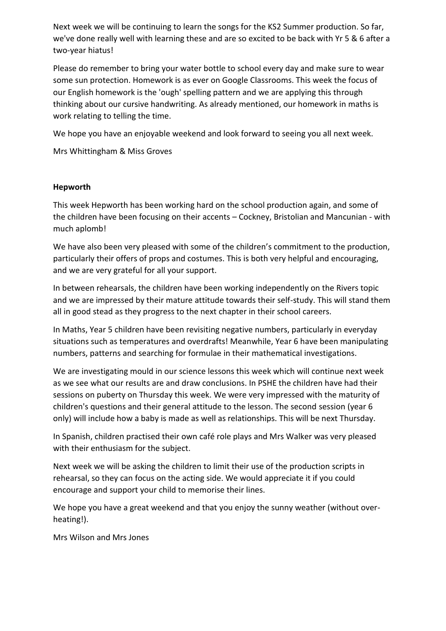Next week we will be continuing to learn the songs for the KS2 Summer production. So far, we've done really well with learning these and are so excited to be back with Yr 5 & 6 after a two-year hiatus!

Please do remember to bring your water bottle to school every day and make sure to wear some sun protection. Homework is as ever on Google Classrooms. This week the focus of our English homework is the 'ough' spelling pattern and we are applying this through thinking about our cursive handwriting. As already mentioned, our homework in maths is work relating to telling the time.

We hope you have an enjoyable weekend and look forward to seeing you all next week.

Mrs Whittingham & Miss Groves

## **Hepworth**

This week Hepworth has been working hard on the school production again, and some of the children have been focusing on their accents – Cockney, Bristolian and Mancunian - with much aplomb!

We have also been very pleased with some of the children's commitment to the production, particularly their offers of props and costumes. This is both very helpful and encouraging, and we are very grateful for all your support.

In between rehearsals, the children have been working independently on the Rivers topic and we are impressed by their mature attitude towards their self-study. This will stand them all in good stead as they progress to the next chapter in their school careers.

In Maths, Year 5 children have been revisiting negative numbers, particularly in everyday situations such as temperatures and overdrafts! Meanwhile, Year 6 have been manipulating numbers, patterns and searching for formulae in their mathematical investigations.

We are investigating mould in our science lessons this week which will continue next week as we see what our results are and draw conclusions. In PSHE the children have had their sessions on puberty on Thursday this week. We were very impressed with the maturity of children's questions and their general attitude to the lesson. The second session (year 6 only) will include how a baby is made as well as relationships. This will be next Thursday.

In Spanish, children practised their own café role plays and Mrs Walker was very pleased with their enthusiasm for the subject.

Next week we will be asking the children to limit their use of the production scripts in rehearsal, so they can focus on the acting side. We would appreciate it if you could encourage and support your child to memorise their lines.

We hope you have a great weekend and that you enjoy the sunny weather (without overheating!).

Mrs Wilson and Mrs Jones